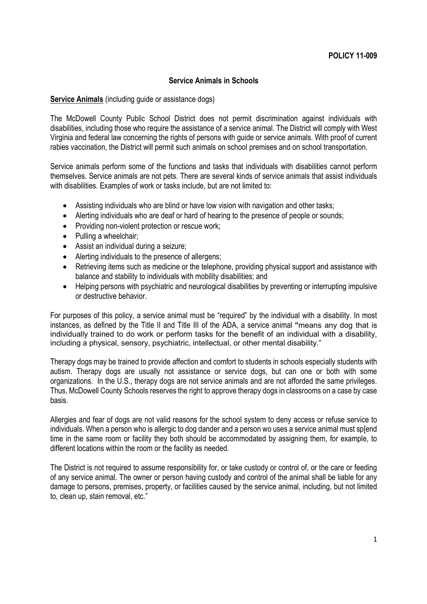## **Service Animals in Schools**

## **Service Animals** (including guide or assistance dogs)

The McDowell County Public School District does not permit discrimination against individuals with disabilities, including those who require the assistance of a service animal. The District will comply with West Virginia and federal law concerning the rights of persons with guide or service animals. With proof of current rabies vaccination, the District will permit such animals on school premises and on school transportation.

Service animals perform some of the functions and tasks that individuals with disabilities cannot perform themselves. Service animals are not pets. There are several kinds of service animals that assist individuals with disabilities. Examples of work or tasks include, but are not limited to:

- Assisting individuals who are blind or have low vision with navigation and other tasks;
- Alerting individuals who are deaf or hard of hearing to the presence of people or sounds;
- Providing non-violent protection or rescue work;
- Pulling a wheelchair:
- Assist an individual during a seizure;
- Alerting individuals to the presence of allergens;
- Retrieving items such as medicine or the telephone, providing physical support and assistance with balance and stability to individuals with mobility disabilities; and
- Helping persons with psychiatric and neurological disabilities by preventing or interrupting impulsive or destructive behavior.

For purposes of this policy, a service animal must be "required" by the individual with a disability. In most instances, as defined by the Title II and Title III of the ADA, a service animal **"**means any dog that is individually trained to do work or perform tasks for the benefit of an individual with a disability, including a physical, sensory, psychiatric, intellectual, or other mental disability."

Therapy dogs may be trained to provide affection and comfort to students in schools especially students with autism. Therapy dogs are usually not assistance or service dogs, but can one or both with some organizations. In the U.S., therapy dogs are not service animals and are not afforded the same privileges. Thus, McDowell County Schools reserves the right to approve therapy dogs in classrooms on a case by case basis.

Allergies and fear of dogs are not valid reasons for the school system to deny access or refuse service to individuals. When a person who is allergic to dog dander and a person wo uses a service animal must splend time in the same room or facility they both should be accommodated by assigning them, for example, to different locations within the room or the facility as needed.

The District is not required to assume responsibility for, or take custody or control of, or the care or feeding of any service animal. The owner or person having custody and control of the animal shall be liable for any damage to persons, premises, property, or facilities caused by the service animal, including, but not limited to, clean up, stain removal, etc."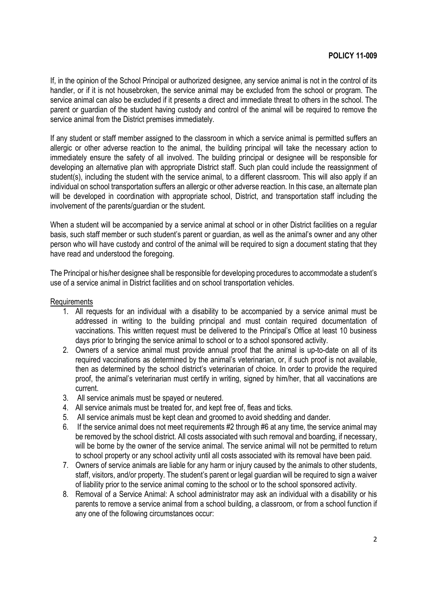If, in the opinion of the School Principal or authorized designee, any service animal is not in the control of its handler, or if it is not housebroken, the service animal may be excluded from the school or program. The service animal can also be excluded if it presents a direct and immediate threat to others in the school. The parent or guardian of the student having custody and control of the animal will be required to remove the service animal from the District premises immediately.

If any student or staff member assigned to the classroom in which a service animal is permitted suffers an allergic or other adverse reaction to the animal, the building principal will take the necessary action to immediately ensure the safety of all involved. The building principal or designee will be responsible for developing an alternative plan with appropriate District staff. Such plan could include the reassignment of student(s), including the student with the service animal, to a different classroom. This will also apply if an individual on school transportation suffers an allergic or other adverse reaction. In this case, an alternate plan will be developed in coordination with appropriate school, District, and transportation staff including the involvement of the parents/guardian or the student.

When a student will be accompanied by a service animal at school or in other District facilities on a regular basis, such staff member or such student's parent or guardian, as well as the animal's owner and any other person who will have custody and control of the animal will be required to sign a document stating that they have read and understood the foregoing.

The Principal or his/her designee shall be responsible for developing procedures to accommodate a student's use of a service animal in District facilities and on school transportation vehicles.

## Requirements

- 1. All requests for an individual with a disability to be accompanied by a service animal must be addressed in writing to the building principal and must contain required documentation of vaccinations. This written request must be delivered to the Principal's Office at least 10 business days prior to bringing the service animal to school or to a school sponsored activity.
- 2. Owners of a service animal must provide annual proof that the animal is up-to-date on all of its required vaccinations as determined by the animal's veterinarian, or, if such proof is not available, then as determined by the school district's veterinarian of choice. In order to provide the required proof, the animal's veterinarian must certify in writing, signed by him/her, that all vaccinations are current.
- 3. All service animals must be spayed or neutered.
- 4. All service animals must be treated for, and kept free of, fleas and ticks.
- 5. All service animals must be kept clean and groomed to avoid shedding and dander.
- 6. If the service animal does not meet requirements #2 through #6 at any time, the service animal may be removed by the school district. All costs associated with such removal and boarding, if necessary, will be borne by the owner of the service animal. The service animal will not be permitted to return to school property or any school activity until all costs associated with its removal have been paid.
- 7. Owners of service animals are liable for any harm or injury caused by the animals to other students, staff, visitors, and/or property. The student's parent or legal guardian will be required to sign a waiver of liability prior to the service animal coming to the school or to the school sponsored activity.
- 8. Removal of a Service Animal: A school administrator may ask an individual with a disability or his parents to remove a service animal from a school building, a classroom, or from a school function if any one of the following circumstances occur: